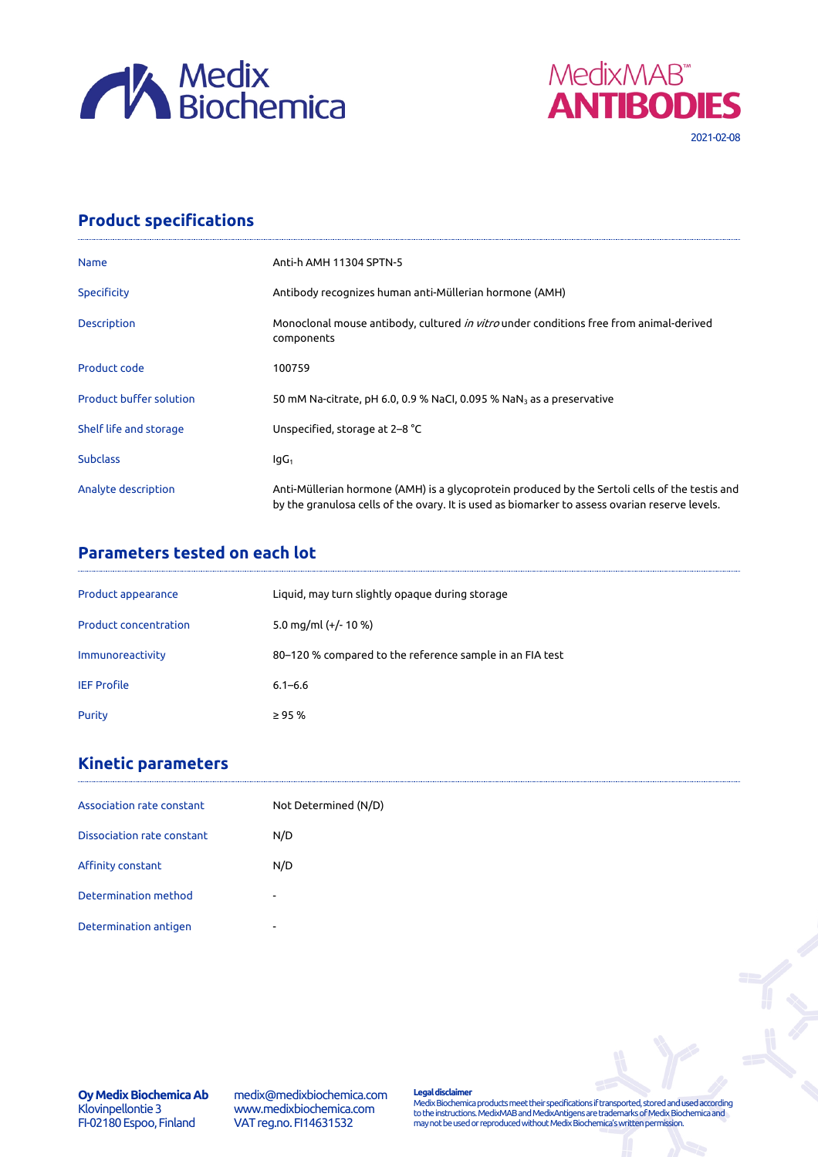



## **Product specifications**

| <b>Name</b>                    | Anti-h AMH 11304 SPTN-5                                                                                                                                                                          |
|--------------------------------|--------------------------------------------------------------------------------------------------------------------------------------------------------------------------------------------------|
| Specificity                    | Antibody recognizes human anti-Müllerian hormone (AMH)                                                                                                                                           |
| <b>Description</b>             | Monoclonal mouse antibody, cultured in vitro under conditions free from animal-derived<br>components                                                                                             |
| Product code                   | 100759                                                                                                                                                                                           |
| <b>Product buffer solution</b> | 50 mM Na-citrate, pH 6.0, 0.9 % NaCl, 0.095 % NaN <sub>3</sub> as a preservative                                                                                                                 |
| Shelf life and storage         | Unspecified, storage at 2-8 °C                                                                                                                                                                   |
| <b>Subclass</b>                | lgG <sub>1</sub>                                                                                                                                                                                 |
| Analyte description            | Anti-Müllerian hormone (AMH) is a glycoprotein produced by the Sertoli cells of the testis and<br>by the granulosa cells of the ovary. It is used as biomarker to assess ovarian reserve levels. |

## **Parameters tested on each lot**

| Product appearance           | Liquid, may turn slightly opaque during storage          |
|------------------------------|----------------------------------------------------------|
| <b>Product concentration</b> | 5.0 mg/ml (+/- 10 %)                                     |
| Immunoreactivity             | 80–120 % compared to the reference sample in an FIA test |
| <b>IEF Profile</b>           | $6.1 - 6.6$                                              |
| Purity                       | $\geq$ 95 %                                              |

# **Kinetic parameters**

| Association rate constant         | Not Determined (N/D)     |  |
|-----------------------------------|--------------------------|--|
| <b>Dissociation rate constant</b> | N/D                      |  |
| Affinity constant                 | N/D                      |  |
| Determination method              | $\overline{\phantom{0}}$ |  |
| Determination antigen             | ۰                        |  |

medix@medixbiochemica.com www.medixbiochemica.com VAT reg.no. FI14631532

**Legal disclaimer** Medix Biochemica products meet their specifications if transported, stored and used according to the instructions. MedixMAB and MedixAntigens are trademarks of Medix Biochemica and may not be used or reproduced without Medix Biochemica's written permission.